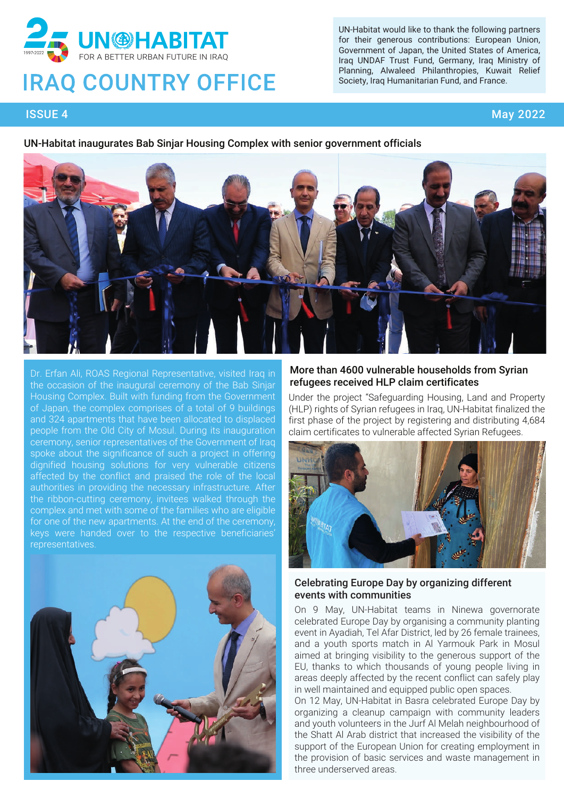

# **IRAQ COUNTRY OFFICE**

UN-Habitat would like to thank the following partners for their generous contributions: European Union, Government of Japan, the United States of America, Iraq UNDAF Trust Fund, Germany, Iraq Ministry of Planning, Alwaleed Philanthropies, Kuwait Relief Society, Iraq Humanitarian Fund, and France.

# ISSUE 4 May 2022

#### UN-Habitat inaugurates Bab Sinjar Housing Complex with senior government officials



Dr. Erfan Ali, ROAS Regional Representative, visited Iraq in the occasion of the inaugural ceremony of the Bab Sinjar Housing Complex. Built with funding from the Government of Japan, the complex comprises of a total of 9 buildings and 324 apartments that have been allocated to displaced people from the Old City of Mosul. During its inauguration ceremony, senior representatives of the Government of Iraq spoke about the significance of such a project in offering dignified housing solutions for very vulnerable citizens affected by the conflict and praised the role of the local authorities in providing the necessary infrastructure. After the ribbon-cutting ceremony, invitees walked through the complex and met with some of the families who are eligible for one of the new apartments. At the end of the ceremony, keys were handed over to the respective beneficiaries' representatives.



#### More than 4600 vulnerable households from Syrian refugees received HLP claim certificates

Under the project "Safeguarding Housing, Land and Property (HLP) rights of Syrian refugees in Iraq, UN-Habitat finalized the first phase of the project by registering and distributing 4,684 claim certificates to vulnerable affected Syrian Refugees.



#### Celebrating Europe Day by organizing different events with communities

On 9 May, UN-Habitat teams in Ninewa governorate celebrated Europe Day by organising a community planting event in Ayadiah, Tel Afar District, led by 26 female trainees, and a youth sports match in Al Yarmouk Park in Mosul aimed at bringing visibility to the generous support of the EU, thanks to which thousands of young people living in areas deeply affected by the recent conflict can safely play in well maintained and equipped public open spaces.

On 12 May, UN-Habitat in Basra celebrated Europe Day by organizing a cleanup campaign with community leaders and youth volunteers in the Jurf Al Melah neighbourhood of the Shatt Al Arab district that increased the visibility of the support of the European Union for creating employment in the provision of basic services and waste management in three underserved areas.